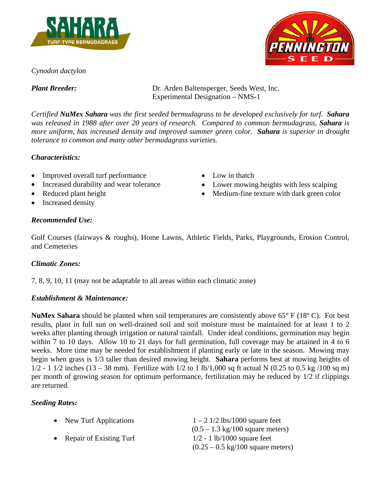





*Plant Breeder:* Dr. Arden Baltensperger, Seeds West, Inc. Experimental Designation – NMS-1

*Certified NuMex Sahara was the first seeded bermudagrass to be developed exclusively for turf. Sahara was released in 1988 after over 20 years of research. Compared to common bermudagrass, Sahara is more uniform, has increased density and improved summer green color. Sahara is superior in drought tolerance to common and many other bermudagrass varieties.* 

## *Characteristics:*

- Improved overall turf performance
- Increased durability and wear tolerance
- Reduced plant height
- Increased density
- Low in thatch
- Lower mowing heights with less scalping
- Medium-fine texture with dark green color

# *Recommended Use:*

Golf Courses (fairways & roughs), Home Lawns, Athletic Fields, Parks, Playgrounds, Erosion Control, and Cemeteries

## *Climatic Zones:*

7, 8, 9, 10, 11 (may not be adaptable to all areas within each climatic zone)

## *Establishment & Maintenance:*

**NuMex Sahara** should be planted when soil temperatures are consistently above 65° F (18º C). For best results, plant in full sun on well-drained soil and soil moisture must be maintained for at least 1 to 2 weeks after planting through irrigation or natural rainfall. Under ideal conditions, germination may begin within 7 to 10 days. Allow 10 to 21 days for full germination, full coverage may be attained in 4 to 6 weeks. More time may be needed for establishment if planting early or late in the season. Mowing may begin when grass is 1/3 taller than desired mowing height. **Sahara** performs best at mowing heights of  $1/2 - 1$  1/2 inches (13 – 38 mm). Fertilize with 1/2 to 1 lb/1,000 sq ft actual N (0.25 to 0.5 kg/100 sq m) per month of growing season for optimum performance, fertilization may be reduced by 1/2 if clippings are returned.

## *Seeding Rates:*

| • New Turf Applications   | $1 - 2 \frac{1}{2} \frac{1}{5} \frac{1000}{2}$ square feet |
|---------------------------|------------------------------------------------------------|
|                           | $(0.5 - 1.3 \text{ kg}/100 \text{ square meters})$         |
| • Repair of Existing Turf | $1/2 - 1$ lb/1000 square feet                              |
|                           | $(0.25 - 0.5 \text{ kg}/100 \text{ square meters})$        |